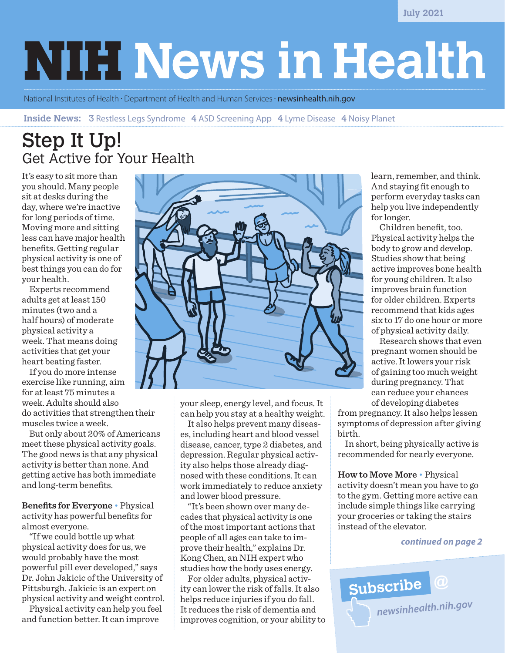**July 2021**

# **NIH News in Health**

National Institutes of Health · Department of Health and Human Services · **[newsinhealth.nih.gov](https://newsinhealth.nih.gov)** 

**Inside News:** 3 Restless Legs Syndrome 4 ASD Screening App 4 Lyme Disease 4 Noisy Planet

### Step It Up! Get Active for Your Health

It's easy to sit more than you should. Many people sit at desks during the day, where we're inactive for long periods of time. Moving more and sitting less can have major health benefits. Getting regular physical activity is one of best things you can do for your health.

Experts recommend adults get at least 150 minutes (two and a half hours) of moderate physical activity a week. That means doing activities that get your heart beating faster.

If you do more intense exercise like running, aim for at least 75 minutes a week. Adults should also do activities that strengthen their muscles twice a week.

But only about 20% of Americans meet these physical activity goals. The good news is that any physical activity is better than none. And getting active has both immediate and long-term benefits.

**Benefits for Everyone** • Physical activity has powerful benefits for almost everyone.

"If we could bottle up what physical activity does for us, we would probably have the most powerful pill ever developed," says Dr. John Jakicic of the University of Pittsburgh. Jakicic is an expert on physical activity and weight control.

Physical activity can help you feel and function better. It can improve



your sleep, energy level, and focus. It can help you stay at a healthy weight.

It also helps prevent many diseases, including heart and blood vessel disease, cancer, type 2 diabetes, and depression. Regular physical activity also helps those already diagnosed with these conditions. It can work immediately to reduce anxiety and lower blood pressure.

"It's been shown over many decades that physical activity is one of the most important actions that people of all ages can take to improve their health," explains Dr. Kong Chen, an NIH expert who studies how the body uses energy.

For older adults, physical activity can lower the risk of falls. It also helps reduce injuries if you do fall. It reduces the risk of dementia and improves cognition, or your ability to learn, remember, and think. And staying fit enough to perform everyday tasks can help you live independently for longer.

 Children benefit, too. Physical activity helps the body to grow and develop. Studies show that being active improves bone health for young children. It also improves brain function for older children. Experts recommend that kids ages six to 17 do one hour or more of physical activity daily.

 Research shows that even pregnant women should be active. It lowers your risk of gaining too much weight during pregnancy. That can reduce your chances of developing diabetes

from pregnancy. It also helps lessen symptoms of depression after giving birth.

In short, being physically active is recommended for nearly everyone.

**How to Move More** • Physical activity doesn't mean you have to go to the gym. Getting more active can include simple things like carrying your groceries or taking the stairs instead of the elevator.

#### *continued on page 2*

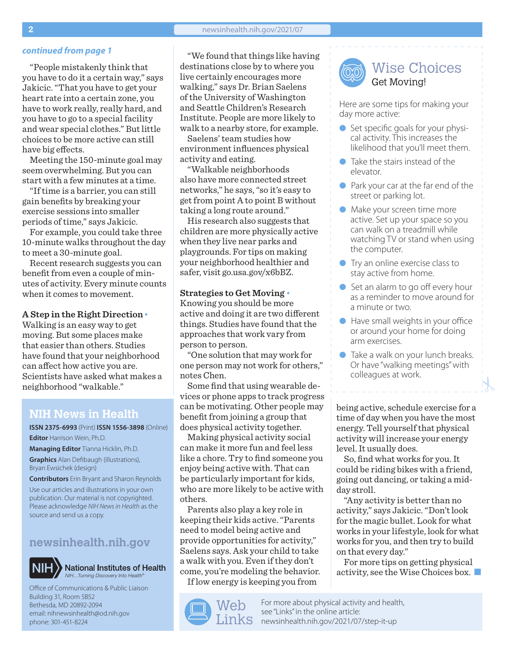"People mistakenly think that you have to do it a certain way," says Jakicic. "That you have to get your heart rate into a certain zone, you have to work really, really hard, and you have to go to a special facility and wear special clothes." But little choices to be more active can still have big effects.

Meeting the 150-minute goal may seem overwhelming. But you can start with a few minutes at a time.

"If time is a barrier, you can still gain benefits by breaking your exercise sessions into smaller periods of time," says Jakicic.

For example, you could take three 10-minute walks throughout the day to meet a 30-minute goal.

Recent research suggests you can benefit from even a couple of minutes of activity. Every minute counts when it comes to movement.

#### **A Step in the Right Direction**•

Walking is an easy way to get moving. But some places make that easier than others. Studies have found that your neighborhood can affect how active you are. Scientists have asked what makes a neighborhood "walkable."

### **NIH News in Health**

**ISSN 2375-6993** (Print) **ISSN 1556-3898** (Online) **Editor** Harrison Wein, Ph.D.

**Managing Editor** Tianna Hicklin, Ph.D. **Graphics** Alan Defibaugh (illustrations), Bryan Ewsichek (design)

**Contributors** Erin Bryant and Sharon Reynolds

Use our articles and illustrations in your own publication. Our material is not copyrighted. Please acknowledge *NIH News in Health* as the source and send us a copy.

### **[newsinhealth.nih.gov](https://newsinhealth.nih.gov)**



**National Institutes of Health** *NIH…Turning Discovery Into Health®*

Office of Communications & Public Liaison Building 31, Room 5B52 Bethesda, MD 20892-2094 email: nihnewsinhealth@od.nih.gov phone: 301-451-8224

**continued from page 1** The **Manufarther We found that things like having** destinations close by to where you live certainly encourages more walking," says Dr. Brian Saelens of the University of Washington and Seattle Children's Research Institute. People are more likely to walk to a nearby store, for example.

> Saelens' team studies how environment influences physical activity and eating.

"Walkable neighborhoods also have more connected street networks," he says, "so it's easy to get from point A to point B without taking a long route around."

His research also suggests that children are more physically active when they live near parks and playgrounds. For tips on making your neighborhood healthier and safer, visit [go.usa.gov/x6bBZ.](https://newsinhealth.nih.gov/2018/11/nurturing-healthy-neighborhoods)

#### **Strategies to Get Moving** •

Knowing you should be more active and doing it are two different things. Studies have found that the approaches that work vary from person to person.

"One solution that may work for one person may not work for others," notes Chen.

Some find that using wearable devices or phone apps to track progress can be motivating. Other people may benefit from joining a group that does physical activity together.

Making physical activity social can make it more fun and feel less like a chore. Try to find someone you enjoy being active with. That can be particularly important for kids, who are more likely to be active with others.

Parents also play a key role in keeping their kids active. "Parents need to model being active and provide opportunities for activity," Saelens says. Ask your child to take a walk with you. Even if they don't come, you're modeling the behavior. If low energy is keeping you from



Wise Choices Get Moving!

Here are some tips for making your day more active:

- Set specific goals for your physical activity. This increases the likelihood that you'll meet them.
- **Take the stairs instead of the** elevator.
- **Park your car at the far end of the** street or parking lot.
- **I** Make your screen time more active. Set up your space so you can walk on a treadmill while watching TV or stand when using the computer.
- $\bullet$  Try an online exercise class to stay active from home.
- $\bullet$  Set an alarm to go off every hour as a reminder to move around for a minute or two.
- $\bullet$  Have small weights in your office or around your home for doing arm exercises.
- **Take a walk on your lunch breaks.** Or have "walking meetings" with colleagues at work.

being active, schedule exercise for a time of day when you have the most energy. Tell yourself that physical activity will increase your energy level. It usually does.

So, find what works for you. It could be riding bikes with a friend, going out dancing, or taking a midday stroll.

"Any activity is better than no activity," says Jakicic. "Don't look for the magic bullet. Look for what works in your lifestyle, look for what works for you, and then try to build on that every day."

For more tips on getting physical activity, see the Wise Choices box.  $\blacksquare$ 

For more about physical activity and health, see "Links" in the online article:  $\text{Links}$  [newsinhealth.nih.gov/2021/07/](https://newsinhealth.nih.gov/2021/07/step-it-up)step-it-up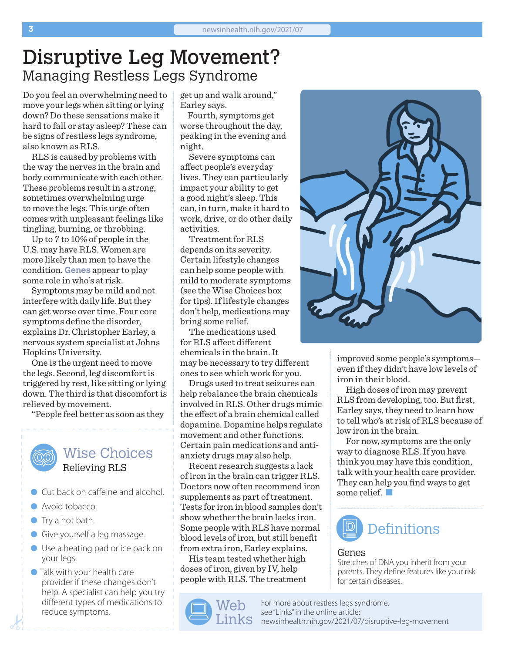### Disruptive Leg Movement? Managing Restless Legs Syndrome

Do you feel an overwhelming need to move your legs when sitting or lying down? Do these sensations make it hard to fall or stay asleep? These can be signs of restless legs syndrome, also known as RLS.

RLS is caused by problems with the way the nerves in the brain and body communicate with each other. These problems result in a strong, sometimes overwhelming urge to move the legs. This urge often comes with unpleasant feelings like tingling, burning, or throbbing.

Up to 7 to 10% of people in the U.S. may have RLS. Women are more likely than men to have the condition. **Genes** appear to play some role in who's at risk.

Symptoms may be mild and not interfere with daily life. But they can get worse over time. Four core symptoms define the disorder, explains Dr. Christopher Earley, a nervous system specialist at Johns Hopkins University.

One is the urgent need to move the legs. Second, leg discomfort is triggered by rest, like sitting or lying down. The third is that discomfort is relieved by movement.

"People feel better as soon as they

### Wise Choices Relieving RLS

- **Cut back on caffeine and alcohol.**
- **Avoid tobacco.**
- $\bullet$  Try a hot bath.
- **Give yourself a leg massage.**
- Use a heating pad or ice pack on your legs.
- **Talk with your health care** provider if these changes don't help. A specialist can help you try different types of medications to reduce symptoms.

get up and walk around," Earley says.

Fourth, symptoms get worse throughout the day, peaking in the evening and night.

Severe symptoms can affect people's everyday lives. They can particularly impact your ability to get a good night's sleep. This can, in turn, make it hard to work, drive, or do other daily activities.

Treatment for RLS depends on its severity. Certain lifestyle changes can help some people with mild to moderate symptoms (see the Wise Choices box for tips). If lifestyle changes don't help, medications may bring some relief.

The medications used for RLS affect different chemicals in the brain. It may be necessary to try different ones to see which work for you.

Drugs used to treat seizures can help rebalance the brain chemicals involved in RLS. Other drugs mimic the effect of a brain chemical called dopamine. Dopamine helps regulate movement and other functions. Certain pain medications and antianxiety drugs may also help.

Recent research suggests a lack of iron in the brain can trigger RLS. Doctors now often recommend iron supplements as part of treatment. Tests for iron in blood samples don't show whether the brain lacks iron. Some people with RLS have normal blood levels of iron, but still benefit from extra iron, Earley explains.

His team tested whether high doses of iron, given by IV, help people with RLS. The treatment





improved some people's symptoms even if they didn't have low levels of iron in their blood.

High doses of iron may prevent RLS from developing, too. But first, Earley says, they need to learn how to tell who's at risk of RLS because of low iron in the brain.

For now, symptoms are the only way to diagnose RLS. If you have think you may have this condition, talk with your health care provider. They can help you find ways to get some relief.



#### Genes

Stretches of DNA you inherit from your parents. They define features like your risk for certain diseases.

For more about restless legs syndrome, see "Links" in the online article:  $\text{Links}$  [newsinhealth.nih.gov/20](https://newsinhealth.nih.gov/2021/07/disruptive-leg-movement)21/07/disruptive-leg-movement